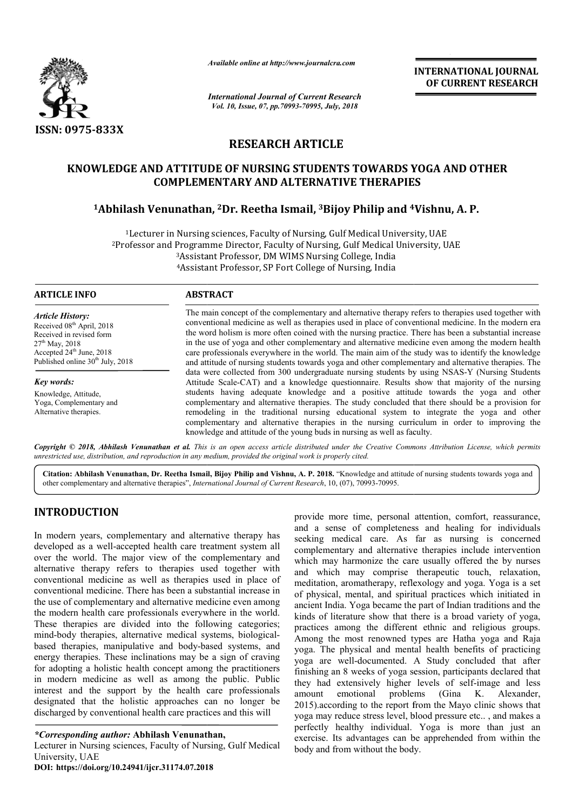

*Available online at http://www.journalcra.com*

*International Journal of Current Research Vol. 10, Issue, 07, pp.70993-70995, July, 2018*

**INTERNATIONAL JOURNAL OF CURRENT RESEARCH**

# **RESEARCH ARTICLE**

#### **KNOWLEDGE AND ATTITUDE OF NURSING STUDENTS TOWARDS YOGA AND OTHER COMPLEME COMPLEMENTARY AND ALTERNATIVE THERAPIES**

# **1Abhilash Venunathan Abhilash Venunathan, 2Dr. Reetha Ismail, 3Bijoy Philip and 4 NTARY AND ALTERNATIVE THERAPIES4Vishnu, A. P.**

 $1$ Lecturer in Nursing sciences, Faculty of Nursing, Gulf Medical University, UAE <sup>1</sup>Lecturer in Nursing sciences, Faculty of Nursing, Gulf Medical University, UAE<br>Professor and Programme Director, Faculty of Nursing, Gulf Medical University, UAE<sup>2</sup> 3Assistant Professor, DM WIMS Nursing College, India <sup>3</sup>Assistant Professor, DM WIMS Nursing College, India<br><sup>4</sup>Assistant Professor, SP Fort College of Nursing, India

#### **ARTICLE INFO ABSTRACT**

*Article History:* Received 08<sup>th</sup> April, 2018 Received in revised form 27th May, 2018 Accepted 24<sup>th</sup> June, 2018 Published online 30<sup>th</sup> July, 2018

*Key words:* Knowledge, Attitude, Yoga, Complementary and Alternative therapies.

The main concept of the complementary and alternative therapy refers to therapies used together with The main concept of the complementary and alternative therapy refers to therapies used together with conventional medicine as well as therapies used in place of conventional medicine. In the modern era the word holism is more often coined with the nursing practice. There has been a substantial increase in the use of yoga and other complementary and alternative medicine even among the modern health care professionals everywhere in the w world. The main aim of the study was to identify the knowledge and attitude of nursing students towards yoga and other complementary and alternative therapies. The data were collected from 300 undergraduate nursing students by using NSAS-Y (Nursing Students Attitude Scale Scale-CAT) and a knowledge questionnaire. Results show that majority of the nursing students having adequate knowledge and a positive attitude towards the yoga and other complementary and alternative therapies. The study concluded that there should be a provision for remodeling in the traditional nursing educational system to integrate the yoga and other complementary and alternative therapies in the nursing curriculum in order to improving the knowledge and attitude of the young buds in nursing as well as faculty. word holism is more often coined with the nursing practice. There has been a substantial increase<br>le use of yoga and other complementary and alternative medicine even among the modern health<br>professionals everywhere in the CAT) and a knowledge questionnaire. Results show that majority of the nursing g adequate knowledge and a positive attitude towards the yoga and other and alternative therapies. The study concluded that there should be a pr the traditional nursing educational system to integrate the and alternative therapies in the nursing curriculum in order titlude of the young buds in nursing as well as faculty.

Copyright © 2018, Abhilash Venunathan et al. This is an open access article distributed under the Creative Commons Attribution License, which permits *unrestricted use, distribution, and reproduction in any medium, provided the original work is properly cited.*

Citation: Abhilash Venunathan, Dr. Reetha Ismail, Bijoy Philip and Vishnu, A. P. 2018. "Knowledge and attitude of nursing students towards yoga and other complementary and alternative therapies", *International Journal of Current Research*, 10, (07), 70993-70995.

# **INTRODUCTION**

In modern years, complementary and alternative therapy has developed as a well-accepted health care treatment system all over the world. The major view of the complementary and alternative therapy refers to therapies used together with conventional medicine as well as therapies used in place of conventional medicine. There has been a substantial increase in the use of complementary and alternative medicine even among the modern health care professionals everywhere in the world. These therapies are divided into the following categories; mind-body therapies, alternative medical systems, biological based therapies, manipulative and body-based systems, and energy therapies. These inclinations may be a sign of craving for adopting a holistic health concept among the practitioners in modern medicine as well as among the public. Public interest and the support by the health care professionals designated that the holistic approaches can no longer be discharged by conventional health care practices and this will by oped as a well-accepted health care treatment system all<br>the world. The major view of the complementary and<br>ative therapy refers to therapies used together with<br>ntional medicine as well as therapies used in place of<br>nti based systems, and<br>be a sign of craving<br>ong the practitioners

#### *\*Corresponding author:* **Abhilash Venunathan,**

Lecturer in Nursing sciences, Faculty of Nursing, Gulf Medical University, UAE

**DOI: https://doi.org/10.24941/ijcr.31174.07.2018**

**EXECT 12** alternative therapy has seeking and attention, comfort, reassurance, and a seaking for individual a sense of completeness and healing for individual complementary and attentiote therapies include intervention ie and a sense of completeness and healing for individuals seeking medical care. As far as nursing is concerned complementary and alternative therapies include intervention which may harmonize the care usually offered the by nurses and which may comprise therapeutic touch, relaxation, meditation, aromatherapy, reflexology and yoga. Yoga is a set of physical, mental, and spiritual practices which initiated in ancient India. Yoga became the part of Indian traditions and the kinds of literature show that there is a broad variety of yoga, of physical, mental, and spiritual practices which initiated in ancient India. Yoga became the part of Indian traditions and the kinds of literature show that there is a broad variety of yoga, practices among the different Among the most renowned types are Hatha yoga and Raja yoga. The physical and mental health benefits of practicing yoga are well-documented. A Study concluded that after finishing an 8 weeks of yoga session, participants declared that they had extensively higher levels of self amount emotional problems (Gina K. Alexander, 2015).according to the report from the Mayo clinic shows that yoga may reduce stress level, blood pressure etc.. , and makes a perfectly healthy individual. Yoga is more than just an exercise. Its advantages can be apprehended from within the body and from without the body. more time, personal attention, comfort, reassurance, ense of completeness and healing for individuals medical care. As far as nursing is concerned entary and alternative therapies include intervention ay harmonize the care Among the most renowned types are Hatha yoga and Raja yoga. The physical and mental health benefits of practicing yoga are well-documented. A Study concluded that after finishing an 8 weeks of yoga session, participants de **EXERVATIONAL JOURNAL FORM CONTINUM CONTINUM CONTINUM CONTINUM CONTINUM CONTINUM CONTINUM CONTINUM CONTINUM CONTINUM CONTINUM CONTINUM CONTINUM CONTINUM CONTINUM CONTINUM CONTINUM CONTINUM CONTINUM CONTINUM CONTINUM CONTI**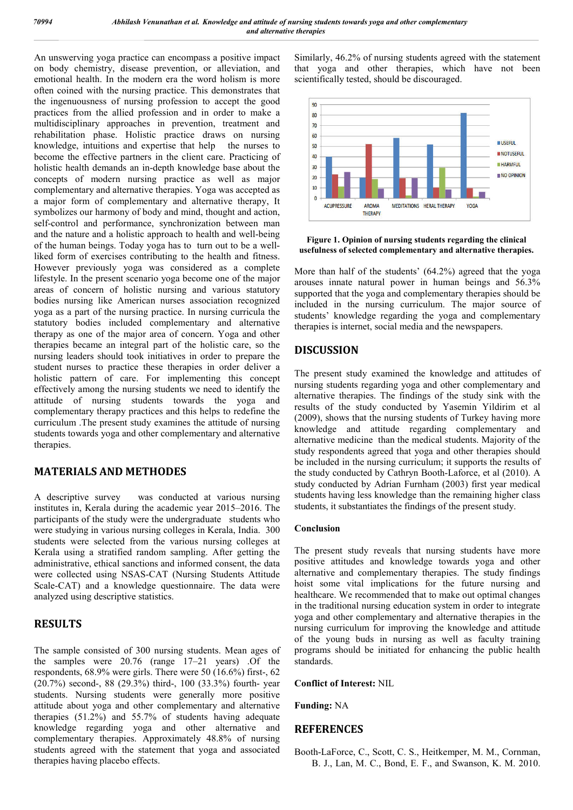An unswerving yoga practice can encompass a positive impact on body chemistry, disease prevention, or alleviation, and emotional health. In the modern era the word holism is more often coined with the nursing practice. This demonstrates that the ingenuousness of nursing profession to accept the good practices from the allied profession and in order to make a multidisciplinary approaches in prevention, treatment and rehabilitation phase. Holistic practice draws on nursing knowledge, intuitions and expertise that help the nurses to become the effective partners in the client care. Practicing of holistic health demands an in-depth knowledge base about the concepts of modern nursing practice as well as major complementary and alternative therapies. Yoga was accepted as a major form of complementary and alternative therapy, It symbolizes our harmony of body and mind, thought and action, self-control and performance, synchronization between man and the nature and a holistic approach to health and well-being of the human beings. Today yoga has to turn out to be a wellliked form of exercises contributing to the health and fitness. However previously yoga was considered as a complete lifestyle. In the present scenario yoga become one of the major areas of concern of holistic nursing and various statutory bodies nursing like American nurses association recognized yoga as a part of the nursing practice. In nursing curricula the statutory bodies included complementary and alternative therapy as one of the major area of concern. Yoga and other therapies became an integral part of the holistic care, so the nursing leaders should took initiatives in order to prepare the student nurses to practice these therapies in order deliver a holistic pattern of care. For implementing this concept effectively among the nursing students we need to identify the attitude of nursing students towards the yoga and complementary therapy practices and this helps to redefine the curriculum .The present study examines the attitude of nursing students towards yoga and other complementary and alternative therapies.

# **MATERIALS AND METHODES**

A descriptive survey was conducted at various nursing institutes in, Kerala during the academic year 2015–2016. The participants of the study were the undergraduate students who were studying in various nursing colleges in Kerala, India. 300 students were selected from the various nursing colleges at Kerala using a stratified random sampling. After getting the administrative, ethical sanctions and informed consent, the data were collected using NSAS-CAT (Nursing Students Attitude Scale-CAT) and a knowledge questionnaire. The data were analyzed using descriptive statistics.

# **RESULTS**

The sample consisted of 300 nursing students. Mean ages of the samples were 20.76 (range 17–21 years) .Of the respondents, 68.9% were girls. There were 50 (16.6%) first-, 62 (20.7%) second-, 88 (29.3%) third-, 100 (33.3%) fourth- year students. Nursing students were generally more positive attitude about yoga and other complementary and alternative therapies (51.2%) and 55.7% of students having adequate knowledge regarding yoga and other alternative and complementary therapies. Approximately 48.8% of nursing students agreed with the statement that yoga and associated therapies having placebo effects.

Similarly, 46.2% of nursing students agreed with the statement that yoga and other therapies, which have not been scientifically tested, should be discouraged.



**Figure 1. Opinion of nursing students regarding the clinical usefulness of selected complementary and alternative therapies.**

More than half of the students' (64.2%) agreed that the yoga arouses innate natural power in human beings and 56.3% supported that the yoga and complementary therapies should be included in the nursing curriculum. The major source of students' knowledge regarding the yoga and complementary therapies is internet, social media and the newspapers.

# **DISCUSSION**

The present study examined the knowledge and attitudes of nursing students regarding yoga and other complementary and alternative therapies. The findings of the study sink with the results of the study conducted by Yasemin Yildirim et al (2009), shows that the nursing students of Turkey having more knowledge and attitude regarding complementary and alternative medicine than the medical students. Majority of the study respondents agreed that yoga and other therapies should be included in the nursing curriculum; it supports the results of the study conducted by Cathryn Booth-Laforce, et al (2010). A study conducted by Adrian Furnham (2003) first year medical students having less knowledge than the remaining higher class students, it substantiates the findings of the present study.

#### **Conclusion**

The present study reveals that nursing students have more positive attitudes and knowledge towards yoga and other alternative and complementary therapies. The study findings hoist some vital implications for the future nursing and healthcare. We recommended that to make out optimal changes in the traditional nursing education system in order to integrate yoga and other complementary and alternative therapies in the nursing curriculum for improving the knowledge and attitude of the young buds in nursing as well as faculty training programs should be initiated for enhancing the public health standards.

#### **Conflict of Interest:** NIL

**Funding:** NA

# **REFERENCES**

Booth-LaForce, C., Scott, C. S., Heitkemper, M. M., Cornman, B. J., Lan, M. C., Bond, E. F., and Swanson, K. M. 2010.